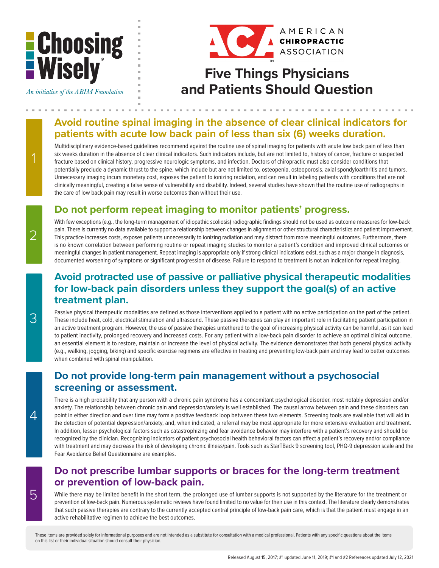# **E** Choosing<br>E Wisely\*

An initiative of the ABIM Foundation



## **Five Things Physicians and Patients Should Question**

#### **Avoid routine spinal imaging in the absence of clear clinical indicators for patients with acute low back pain of less than six (6) weeks duration.**

Multidisciplinary evidence-based guidelines recommend against the routine use of spinal imaging for patients with acute low back pain of less than six weeks duration in the absence of clear clinical indicators. Such indicators include, but are not limited to, history of cancer, fracture or suspected fracture based on clinical history, progressive neurologic symptoms, and infection. Doctors of chiropractic must also consider conditions that potentially preclude a dynamic thrust to the spine, which include but are not limited to, osteopenia, osteoporosis, axial spondyloarthritis and tumors. Unnecessary imaging incurs monetary cost, exposes the patient to ionizing radiation, and can result in labeling patients with conditions that are not clinically meaningful, creating a false sense of vulnerability and disability. Indeed, several studies have shown that the routine use of radiographs in the care of low back pain may result in worse outcomes than without their use.

### **Do not perform repeat imaging to monitor patients' progress.**

With few exceptions (e.g., the long-term management of idiopathic scoliosis) radiographic findings should not be used as outcome measures for low-back pain. There is currently no data available to support a relationship between changes in alignment or other structural characteristics and patient improvement. This practice increases costs, exposes patients unnecessarily to ionizing radiation and may distract from more meaningful outcomes. Furthermore, there is no known correlation between performing routine or repeat imaging studies to monitor a patient's condition and improved clinical outcomes or meaningful changes in patient management. Repeat imaging is appropriate only if strong clinical indications exist, such as a major change in diagnosis, documented worsening of symptoms or significant progression of disease. Failure to respond to treatment is not an indication for repeat imaging.

#### **Avoid protracted use of passive or palliative physical therapeutic modalities for low-back pain disorders unless they support the goal(s) of an active treatment plan.**

Passive physical therapeutic modalities are defined as those interventions applied to a patient with no active participation on the part of the patient. These include heat, cold, electrical stimulation and ultrasound. These passive therapies can play an important role in facilitating patient participation in an active treatment program. However, the use of passive therapies untethered to the goal of increasing physical activity can be harmful, as it can lead to patient inactivity, prolonged recovery and increased costs. For any patient with a low-back pain disorder to achieve an optimal clinical outcome, an essential element is to restore, maintain or increase the level of physical activity. The evidence demonstrates that both general physical activity (e.g., walking, jogging, biking) and specific exercise regimens are effective in treating and preventing low-back pain and may lead to better outcomes when combined with spinal manipulation.

#### **Do not provide long-term pain management without a psychosocial screening or assessment.**

There is a high probability that any person with a chronic pain syndrome has a concomitant psychological disorder, most notably depression and/or anxiety. The relationship between chronic pain and depression/anxiety is well established. The causal arrow between pain and these disorders can point in either direction and over time may form a positive feedback loop between these two elements. Screening tools are available that will aid in the detection of potential depression/anxiety, and, when indicated, a referral may be most appropriate for more extensive evaluation and treatment. In addition, lesser psychological factors such as catastrophizing and fear avoidance behavior may interfere with a patient's recovery and should be recognized by the clinician. Recognizing indicators of patient psychosocial health behavioral factors can affect a patient's recovery and/or compliance with treatment and may decrease the risk of developing chronic illness/pain. Tools such as StarTBack 9 screening tool, PHQ-9 depression scale and the Fear Avoidance Belief Questionnaire are examples.

#### **Do not prescribe lumbar supports or braces for the long-term treatment or prevention of low-back pain.**

While there may be limited benefit in the short term, the prolonged use of lumbar supports is not supported by the literature for the treatment or prevention of low-back pain. Numerous systematic reviews have found limited to no value for their use in this context. The literature clearly demonstrates that such passive therapies are contrary to the currently accepted central principle of low-back pain care, which is that the patient must engage in an active rehabilitative regimen to achieve the best outcomes.

These items are provided solely for informational purposes and are not intended as a substitute for consultation with a medical professional. Patients with any specific questions about the items on this list or their individual situation should consult their physician.

2

1

3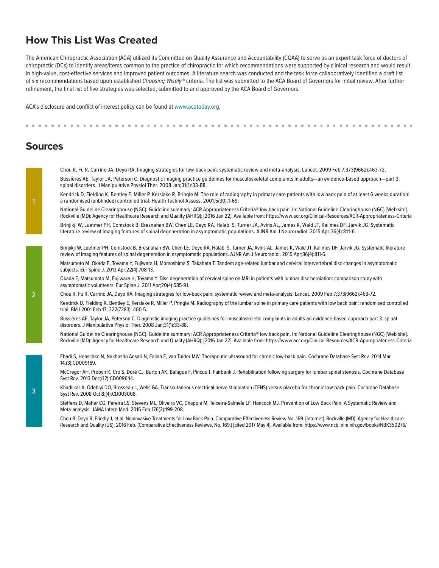#### **How This List Was Created**

The American Chiropractic Association (ACA) utilized its Committee on Quality Assurance and Accountability (CQAA) to serve as an expert task force of doctors of chiropractic (DCs) to identify areas/items common to the practice of chiropractic for which recommendations were supported by clinical research and would result in high-value, cost-effective services and improved patient outcomes. A literature search was conducted and the task force collaboratively identified a draft list of six recommendations based upon established *Choosing Wisely®* criteria. The list was submitted to the ACA Board of Governors for initial review. After further refinement, the final list of five strategies was selected, submitted to and approved by the ACA Board of Governors.

ACA's disclosure and conflict of interest policy can be found at www.acatoday.org.

#### **Sources**

Chou R, Fu R, Carrino JA, Deyo RA. Imaging strategies for low-back pain: systematic review and meta-analysis. Lancet. 2009 Feb 7;373(9662):463-72.

Bussières AE, Taylor JA, Peterson C. Diagnostic imaging practice guidelines for musculoskeletal complaints in adults—an evidence-based approach—part 3: spinal disorders. J Manipulative Physiol Ther. 2008 Jan;31(1):33-88.

Kendrick D, Fielding K, Bentley E, Miller P, Kerslake R, Pringle M. The role of radiography in primary care patients with low back pain of at least 6 weeks duration: a randomised (unblinded) controlled trial. Health Technol Assess. 2001;5(30):1-69.

National Guideline Clearinghouse (NGC). Guideline summary: ACR Appropriateness Criteria® low back pain. In: National Guideline Clearinghouse (NGC) [Web site]. Rockville (MD): Agency for Healthcare Research and Quality (AHRQ); [2016 Jan 22]. Available from: https://www.acr.org/Clinical-Resources/ACR-Appropriateness-Criteria

Brinjikji W, Luetmer PH, Comstock B, Bresnahan BW, Chen LE, Deyo RA, Halabi S, Turner JA, Avins AL, James K, Wald JT, Kallmes DF, Jarvik JG. Systematic literature review of imaging features of spinal degeneration in asymptomatic populations. AJNR Am J Neuroradiol. 2015 Apr;36(4):811-6.

Brinjikji W, Luetmer PH, Comstock B, Bresnahan BW, Chen LE, Deyo RA, Halabi S, Turner JA, Avins AL, James K, Wald JT, Kallmes DF, Jarvik JG. Systematic literature review of imaging features of spinal degeneration in asymptomatic populations. AJNR Am J Neuroradiol. 2015 Apr;36(4):811-6.

Matsumoto M, Okada E, Toyama Y, Fujiwara H, Momoshima S, Takahata T. Tandem age-related lumbar and cervical intervertebral disc changes in asymptomatic subjects. Eur Spine J. 2013 Apr;22(4):708-13.

Okada E, Matsumoto M, Fujiwara H, Toyama Y. Disc degeneration of cervical spine on MRI in patients with lumbar disc herniation: comparison study with asymptomatic volunteers. Eur Spine J. 2011 Apr;20(4):585-91.

Chou R, Fu R, Carrino JA, Deyo RA. Imaging strategies for low-back pain: systematic review and meta-analysis. Lancet. 2009 Feb 7;373(9662):463-72.

Kendrick D, Fielding K, Bentley E, Kerslake R, Miller P, Pringle M. Radiography of the lumbar spine in primary care patients with low back pain: randomised controlled trial. BMJ 2001 Feb 17; 322(7283): 400-5.

Bussières AE, Taylor JA, Peterson C. Diagnostic imaging practice guidelines for musculoskeletal complaints in adults-an evidence-based approach-part 3: spinal disorders. J Manipulative Physiol Ther. 2008 Jan;31(1):33-88.

National Guideline Clearinghouse (NGC). Guideline summary: ACR Appropriateness Criteria® low back pain. In: National Guideline Clearinghouse (NGC) [Web site]. Rockville (MD): Agency for Healthcare Research and Quality (AHRQ); [2016 Jan 22]. Available from: https://www.acr.org/Clinical-Resources/ACR-Appropriateness-Criteria

Ebadi S, Henschke N, Nakhostin Ansari N, Fallah E, van Tulder MW. Therapeutic ultrasound for chronic low-back pain. Cochrane Database Syst Rev. 2014 Mar 14;(3):CD009169.

McGregor AH, Probyn K, Cro S, Doré CJ, Burton AK, Balagué F, Pincus T, Fairbank J. Rehabilitation following surgery for lumbar spinal stenosis. Cochrane Database Syst Rev. 2013 Dec;(12):CD009644.

Khadilkar A, Odebiyi DO, Brosseau L, Wells GA. Transcutaneous electrical nerve stimulation (TENS) versus placebo for chronic low-back pain. Cochrane Database Syst Rev. 2008 Oct 8;(4):CD003008.

Steffens D, Maher CG, Pereira LS, Stevens ML, Oliveira VC, Chapple M, Teixeira-Salmela LF, Hancock MJ. Prevention of Low Back Pain: A Systematic Review and Meta-analysis. JAMA Intern Med. 2016 Feb;176(2):199-208.

Chou R, Deyo R, Friedly J, et al. Noninvasive Treatments for Low Back Pain. Comparative Effectiveness Review No. 169. [Internet]. Rockville (MD): Agency for Healthcare Research and Quality (US); 2016 Feb. (Comparative Effectiveness Reviews, No. 169.) [cited 2017 May 4]. Available from: https://www.ncbi.nlm.nih.gov/books/NBK350276/